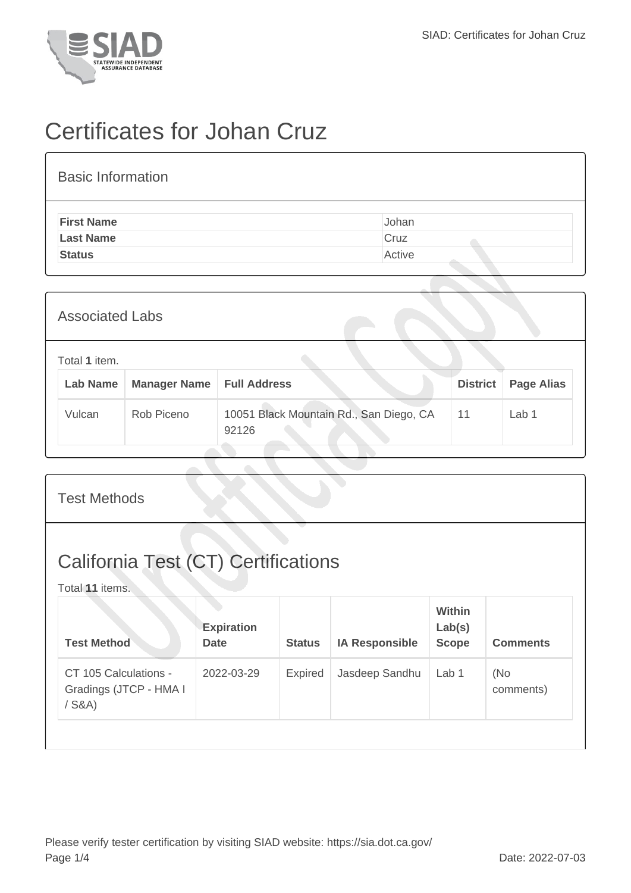

## Certificates for Johan Cruz

| <b>Basic Information</b> |        |
|--------------------------|--------|
| <b>First Name</b>        | Johan  |
| <b>Last Name</b>         | Cruz   |
| <b>Status</b>            | Active |

| <b>Associated Labs</b>    |                     |                                                  |                 |                   |  |  |
|---------------------------|---------------------|--------------------------------------------------|-----------------|-------------------|--|--|
| Total 1 item.<br>Lab Name | <b>Manager Name</b> | <b>Full Address</b>                              | <b>District</b> | <b>Page Alias</b> |  |  |
| Vulcan                    | Rob Piceno          | 10051 Black Mountain Rd., San Diego, CA<br>92126 | 11              | Lab 1             |  |  |

| <b>Test Methods</b>                                    |                                                                                   |                |                       |                                         |                  |  |  |
|--------------------------------------------------------|-----------------------------------------------------------------------------------|----------------|-----------------------|-----------------------------------------|------------------|--|--|
| California Test (CT) Certifications<br>Total 11 items. |                                                                                   |                |                       |                                         |                  |  |  |
|                                                        | <b>Expiration</b><br><b>Date</b>                                                  | <b>Status</b>  | <b>IA Responsible</b> | <b>Within</b><br>Lab(s)<br><b>Scope</b> | <b>Comments</b>  |  |  |
|                                                        | 2022-03-29                                                                        | <b>Expired</b> | Jasdeep Sandhu        | Lab 1                                   | (No<br>comments) |  |  |
|                                                        | <b>Test Method</b><br>CT 105 Calculations -<br>Gradings (JTCP - HMA I<br>$/$ S&A) |                |                       |                                         |                  |  |  |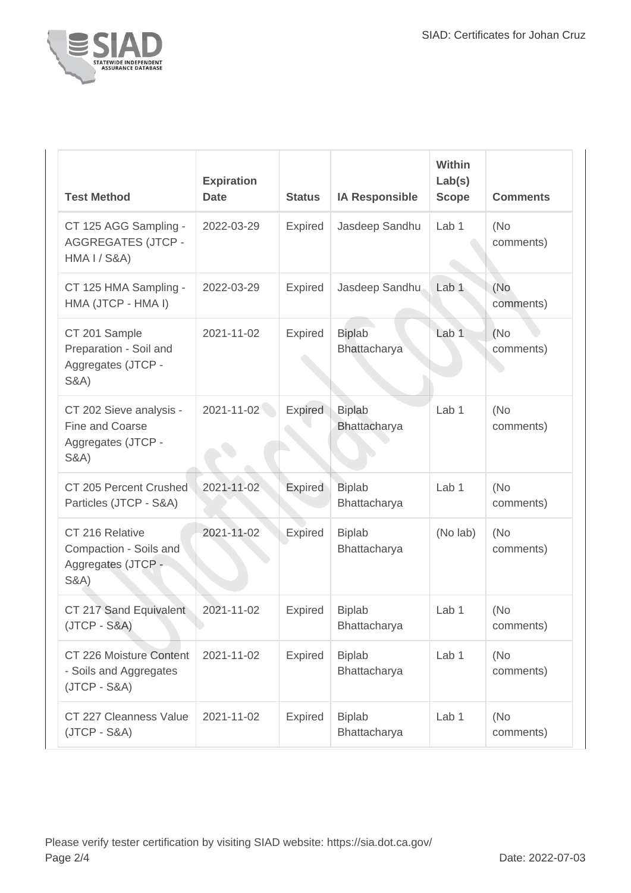

| <b>Test Method</b>                                                                   | <b>Expiration</b><br><b>Date</b> | <b>Status</b>  | <b>IA Responsible</b>                | Within<br>Lab(s)<br><b>Scope</b> | <b>Comments</b>  |
|--------------------------------------------------------------------------------------|----------------------------------|----------------|--------------------------------------|----------------------------------|------------------|
| CT 125 AGG Sampling -<br><b>AGGREGATES (JTCP -</b><br><b>HMA I / S&amp;A)</b>        | 2022-03-29                       | Expired        | Jasdeep Sandhu                       | Lab <sub>1</sub>                 | (No<br>comments) |
| CT 125 HMA Sampling -<br>HMA (JTCP - HMA I)                                          | 2022-03-29                       | Expired        | Jasdeep Sandhu                       | Lab <sub>1</sub>                 | (No<br>comments) |
| CT 201 Sample<br>Preparation - Soil and<br>Aggregates (JTCP -<br><b>S&amp;A)</b>     | 2021-11-02                       | Expired        | <b>Biplab</b><br><b>Bhattacharya</b> | Lab <sub>1</sub>                 | (No<br>comments) |
| CT 202 Sieve analysis -<br>Fine and Coarse<br>Aggregates (JTCP -<br><b>S&amp;A</b> ) | 2021-11-02                       | Expired        | <b>Biplab</b><br>Bhattacharya        | Lab <sub>1</sub>                 | (No<br>comments) |
| CT 205 Percent Crushed<br>Particles (JTCP - S&A)                                     | 2021-11-02                       | Expired        | <b>Biplab</b><br>Bhattacharya        | Lab 1                            | (No<br>comments) |
| CT 216 Relative<br>Compaction - Soils and<br>Aggregates (JTCP -<br><b>S&amp;A</b> )  | 2021-11-02                       | <b>Expired</b> | <b>Biplab</b><br>Bhattacharya        | (No lab)                         | (No<br>comments) |
| CT 217 Sand Equivalent<br>$(JTCP - S&A)$                                             | 2021-11-02                       | Expired        | <b>Biplab</b><br>Bhattacharya        | Lab <sub>1</sub>                 | (No<br>comments) |
| CT 226 Moisture Content<br>- Soils and Aggregates<br>$(JTCP - S&A)$                  | 2021-11-02                       | Expired        | <b>Biplab</b><br>Bhattacharya        | Lab <sub>1</sub>                 | (No<br>comments) |
| CT 227 Cleanness Value<br>$(JTCP - S&A)$                                             | 2021-11-02                       | Expired        | <b>Biplab</b><br>Bhattacharya        | Lab 1                            | (No<br>comments) |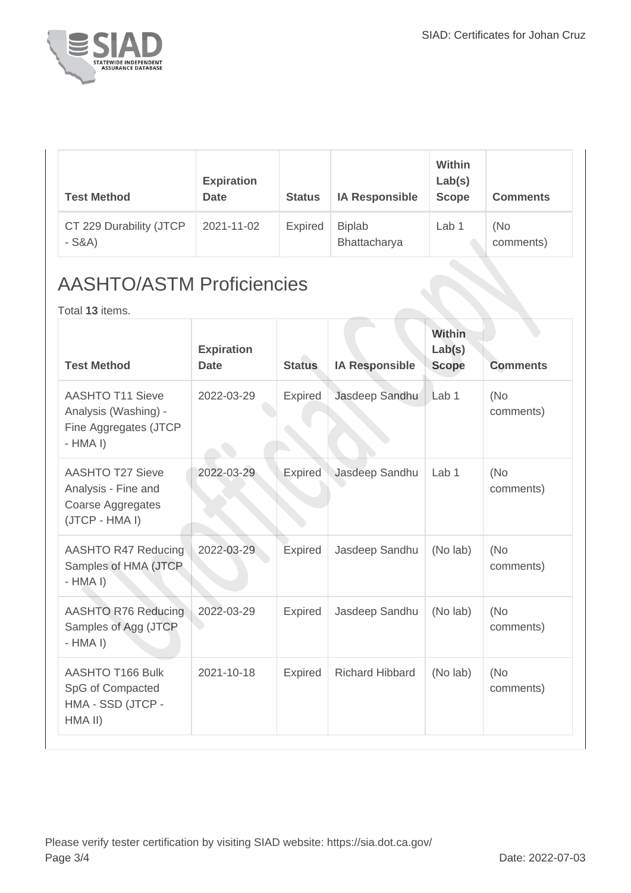

| <b>Test Method</b>                 | <b>Expiration</b><br><b>Date</b> | <b>Status</b>  | <b>IA Responsible</b>         | Within<br>Lab(s)<br><b>Scope</b> | <b>Comments</b>  |
|------------------------------------|----------------------------------|----------------|-------------------------------|----------------------------------|------------------|
| CT 229 Durability (JTCP<br>$-S&A)$ | 2021-11-02                       | <b>Expired</b> | <b>Biplab</b><br>Bhattacharya | Lab 1                            | (No<br>comments) |

## AASHTO/ASTM Proficiencies

Total **13** items.

| <b>Test Method</b>                                                                    | <b>Expiration</b><br><b>Date</b> | <b>Status</b>  | <b>IA Responsible</b>  | <b>Within</b><br>Lab(s)<br><b>Scope</b> | <b>Comments</b>   |
|---------------------------------------------------------------------------------------|----------------------------------|----------------|------------------------|-----------------------------------------|-------------------|
| <b>AASHTO T11 Sieve</b><br>Analysis (Washing) -<br>Fine Aggregates (JTCP<br>$-HMA I$  | 2022-03-29                       | <b>Expired</b> | Jasdeep Sandhu         | Lab <sub>1</sub>                        | (No)<br>comments) |
| <b>AASHTO T27 Sieve</b><br>Analysis - Fine and<br>Coarse Aggregates<br>(JTCP - HMA I) | 2022-03-29                       | <b>Expired</b> | Jasdeep Sandhu         | Lab <sub>1</sub>                        | (No)<br>comments) |
| <b>AASHTO R47 Reducing</b><br>Samples of HMA (JTCP<br>$-HMA I)$                       | 2022-03-29                       | <b>Expired</b> | Jasdeep Sandhu         | (No lab)                                | (No)<br>comments) |
| <b>AASHTO R76 Reducing</b><br>Samples of Agg (JTCP<br>$-HMA I$                        | 2022-03-29                       | <b>Expired</b> | Jasdeep Sandhu         | (No lab)                                | (No)<br>comments) |
| <b>AASHTO T166 Bulk</b><br>SpG of Compacted<br>HMA - SSD (JTCP -<br>HMA II)           | 2021-10-18                       | <b>Expired</b> | <b>Richard Hibbard</b> | (No lab)                                | (No)<br>comments) |